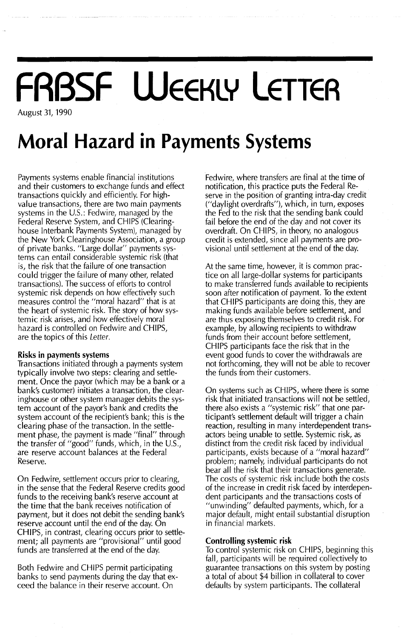## **FRBSF WEEKLY LETTER** August 31, 1990

**Moral Hazard in Payments Systems**

Payments systems enable financial institutions and their customers to exchange funds and effect transactions quickly and efficiently. For highvalue transactions, there are two main payments systems in the  $U.S.:$  Fedwire, managed by the Federal Reserve System, and CHIPS (Clearinghouse Interbank Payments System), managed by the New York Clearinghouse Association, a group of private banks. "Large dollar" payments systems can entail considerable systemic risk (that is, the risk that the failure of one transaction could trigger the failure of many other, related transactions). The success of efforts to control systemic risk depends on how effectively such measures control the "moral hazard" that is at the heart of systemic risk. The story of how systemic risk arises, and how effectively moral hazard is controlled on Fedwire and CHIPS, are the topics of this Letter.

#### Risks **in** payments systems

Transactions initiated through a payments system typically involve two steps: clearing and settlement. Once the payor (which may be a bank or a bank's customer) initiates a transaction, the clearinghouse or other system manager debits the system account of the payor's bank and credits the system account of the recipient's bank; this is the clearing phase of the transaction. In the settlement phase, the payment is made "final" through the transfer of "good" funds, which, in the U.s., are reserve account balances at the Federal Reserve.

On Fedwire, settlement occurs prior to clearing, in the sense that the Federal Reserve credits good funds to the receiving bank's reserve account at the time that the bank receives notification of payment, but it does not debit the sending bank's reserve account until the end of the day. On CHIPS, in contrast, clearing occurs prior to settlement; all payments are "provisional" until good funds are transferred at the end of the day.

Both Fedwire and CHIPS permit participating banks to send payments during the day that exceed the balance in their reserve account. On

Fedwire, where transfers are final at the time of notification, this practice puts the Federal Reserve in the position of granting intra-day credit ("daylight overdrafts"), which, in turn, exposes the Fed to the risk that the sending bank could fail before the end of the day and not cover its overdraft. On CHIPS, in theory, no analogous credit is extended, since all payments are provisional until settlement at the end of the day.

At the same time, however, it is common practice on all large-dollar systems for participants to make transferred funds available to recipients soon after notification of payment. To the extent that CHIPS participants are doing this, they are making funds available before settlement, and are thus exposing themselves to credit risk. For example, by allowing recipients to withdraw funds from their account before settlement, CHIPS participants face the risk that in the event good funds to cover the withdrawals are not forthcoming, they will not be able to recover the funds from their customers.

On systems such as CHIPS, where there is some risk that initiated transactions will not be settled, there also exists a "systemic risk" that one participant's settlement default will trigger a chain reaction, resulting in many interdependent transactors being unable to settle. Systemic risk, as distinct from the credit risk faced by individual participants, exists because of a "moral hazard" problem; namely, individual participants do not bear all the risk that their transactions generate. The costs of systemic risk include both the costs of the increase in credit risk faced by interdependent participants and the transactions costs of "unwinding" defaulted payments, which, for a major default, might entail substantial disruption in financial markets.

#### Controlling systemic risk

To control systemic risk on CHIPS, beginning this fall; participants will be required collectively to guarantee transactions on this system by posting a total of about \$4 billion in collateral to cover defaults by system participants. The collateral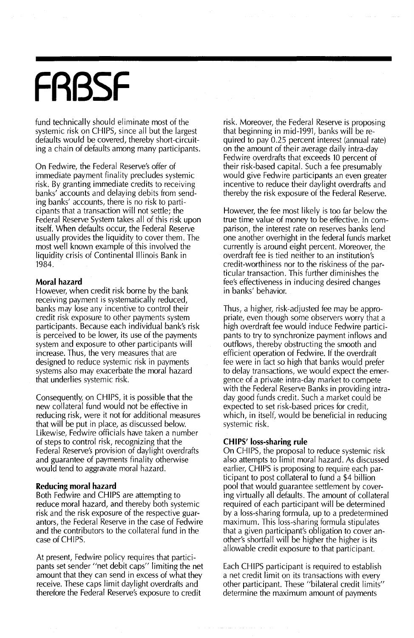# **FRBSF**

fund technically should eliminate most of the systemic risk on CHIPS, since all but the largest defaults would be covered, thereby short-circuiting a chain of defaults among many participants.

On Fedwire, the Federal Reserve's offer of immediate payment finality precludes systemic risk. By granting immediate credits to receiving banks' accounts and delaying debits from sending banks' accounts, there is no risk to participants that a transaction will not settle; the Federal Reserve System takes all of this risk upon itself. When defaults occur, the Federal Reserve usually provides the liquidity to cover them. The most well known example of this involved the liquidity crisis of Continental Illinois Bank in 1984.

#### **Moral hazard**

However, when credit risk borne by the bank receiving payment is systematically reduced, banks may lose any incentive to control their credit risk exposure to other payments system participants. Because each individual bank's risk is perceived to be lower, its use of the payments system and exposure to other participants will increase. Thus, the very measures that are designed to reduce systemic risk in payments systems also may exacerbate the moral hazard that underlies systemic risk.

Consequently, on CHIPS, it is possible that the new collateral fund would not be effective in reducing risk, were it not for additional measures that will be put in place, as discussed below. Likewise, Fedwire officials have taken a number of steps to control risk, recognizing that the Federal Reserve's provision of daylight overdrafts and guarantee of payments finality otherwise would tend to aggravate moral hazard.

#### **Reducing moral hazard**

Both Fedwire and CHIPS are attempting to reduce moral hazard, and thereby both systemic risk and the risk exposure of the respective guarantors, the Federal Reserve in the case of Fedwire and the contributors to the collateral fund in the case of CHIPS.

At present, Fedwire policy requires that participants set sender "net debit caps" limiting the net amount that they can send in excess of what they receive. These caps limit daylight overdrafts and therefore the Federal Reserve's exposure to credit

risk. Moreover, the Federal Reserve is proposing that beginning in mid-1991, banks will be required to pay 0.25 percent interest (annual rate) on the amount of their average daily intra-day Fedwire overdrafts that exceeds 10 percent of reuwne overurans that exceeds to percent of<br>their risk-based capital. Such a fee presumably<br>would give Fedwire participants an even great would give Fedwire participants an even greater incentive to reduce their daylight overdrafts and thereby the risk exposure of the Federal Reserve.

However, the fee most likely is too far below the true time value of money to be effective. In comparison, the interest rate on reserves banks lend one another overhight in the federal funds market currently is around eight percent. Moreover, the overdraft fee is tied neither to an institution's credit-worthiness nor to the riskiness of the particular transaction. This further diminishes the fee's effectiveness in inducing desired changes in banks' behavior.

Thus, a higher, risk-adjusted fee may be appropriate, even though some observers worry that a high overdraft fee would induce Fedwire participants to try to synchronize payment inflows and outflows, thereby obstructing the smooth and efficient operation of Fedwire. If the overdraft fee were in fact so high that banks would prefer to delay transactions, we would expect the emergence of a private intra-day market to compete with the Federal Reserve Banks in providing intraday good funds credit. Such a market could be expected to set risk-based prices for credit, which, in itself, would be beneficial in reducing systemic risk.

#### **CHIPS' loss-sharing rule**

On CHIPS, the proposal to reduce systemic risk also attempts to limit moral hazard. As discussed earlier, CHIPS is proposing to require each participant to post collateral to fund a \$4 billion pool that would guarantee settlement by covering virtually all defaults. The amount of collateral required of each participant will be determined by a loss-sharing formula, up to a predetermined maximum. This loss-sharing formula stipulates that a given participant's obligation to cover another's shortfall will be higher the higher is its allowable credit exposure to that participant.

Each CHIPS participant is required to establish a net credit limit on its transactions with every other participant. These "bilateral credit limits" determine the maximum amount of payments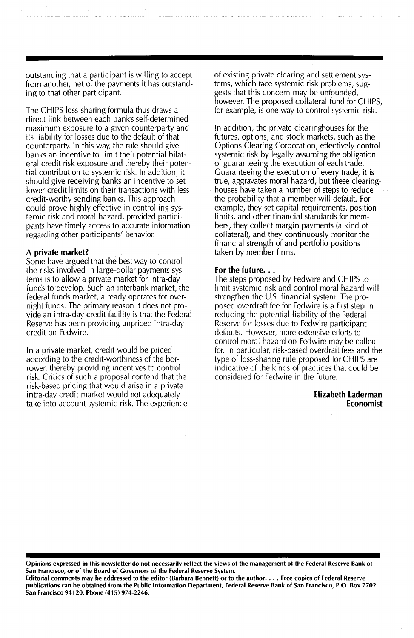outstanding that a participant is willing to accept from another, net of the payments it has outstanding to that other participant.

The CHIPS loss-sharing formula thus draws a direct link between each bank's self-determined maximum exposure to a given counterparty and its liability for losses due to the default of that counterparty. In this way, the rule should give banks an incentive to limit their potential bilateral credit risk exposure and thereby their potential contribution to systemic risk. !n addition, it should give receiving banks an incentive to set lower credit limits on their transactions with less credit-worthy sending banks. This approach could prove highly effective in controlling systemic risk and moral hazard, provided participants have timely access to accurate information regarding other participants' behavior.

#### A private market?

Some have argued that the best way to control the risks involved in large-dollar payments systems is to allow a private market for intra-day funds to develop. Such an interbank market, the federal funds market, already operates for overnight funds. The primary reason it does not provide an intra-day credit facility is that the Federal Reserve has been providing unpriced intra-day credit on Fedwire.

In a private market, credit would be priced according to the credit-worthiness of the borrower, thereby providing incentives to control risk. Critics of such a proposal contend that the risk-based pricing that would arise in a private intra-day credit market would not adequately take into account systemic risk. The experience of existing private clearing and settlement systems, which face systemic risk problems, suggests that this concern may be unfounded, however. The proposed collateral fund for CHIPS, for example, is one way to control systemic risk.

In addition, the private clearinghouses for the futures, options, and stock markets, such as the Options Clearing Corporation, effectively control systemic risk by legally assuming the obligation of guaranteeing the execution of each trade. Guaranteeing the execution of every trade, it is true, aggravates moral hazard, but these clearinghouses have taken a number of steps to reduce the probability that a member will default. For example, they set capital requirements, position limits, and other financial standards for members, they collect margin payments (a kind of collateral), and they continuously monitor the financial strength of and portfolio positions taken by member firms.

#### For the future...

The steps proposed by Fedwire and CHIPS to limit systemic risk and control moral hazard will strengthen the U.S. financial system. The proposed overdraft fee for Fedwire is a first step in reducing the potential liability of the Federal Reserve for losses due to Fedwire participant defaults. However, more extensive efforts to control moral hazard on Fedwire may be called for. In particular, risk-based overdraft fees and the type of loss-sharing rule proposed for CHIPS are indicative of the kinds of practices that could be considered for Fedwire in the future.

#### Elizabeth Laderman Economist

Opinions expressed in this newsletter do not necessarily refiect the views of the management of the Federai Reserve Bank of San Francisco, or of the Board of Governors of the Federal Reserve System.

Editorial comments may be addressed to the editor (Barbara Bennett) or to the author.... Free copies of Federal Reserve publications can be obtained from the Public Information Department, Federal Reserve Bank of San Francisco, P.O. Box 7702, San Francisco 94120. Phone (415) 974-2246.